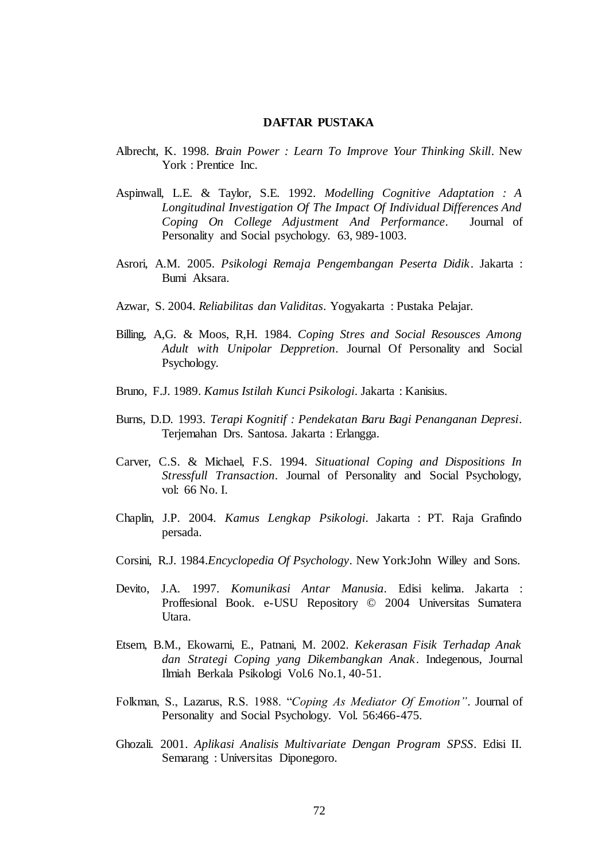## **DAFTAR PUSTAKA**

- Albrecht, K. 1998. *Brain Power : Learn To Improve Your Thinking Skill*. New York : Prentice Inc.
- Aspinwall, L.E. & Taylor, S.E. 1992. *Modelling Cognitive Adaptation : A Longitudinal Investigation Of The Impact Of Individual Differences And Coping On College Adjustment And Performance*. Journal of Personality and Social psychology. 63, 989-1003.
- Asrori, A.M. 2005. *Psikologi Remaja Pengembangan Peserta Didik*. Jakarta : Bumi Aksara.
- Azwar, S. 2004. *Reliabilitas dan Validitas*. Yogyakarta : Pustaka Pelajar.
- Billing, A,G. & Moos, R,H. 1984. *Coping Stres and Social Resousces Among Adult with Unipolar Deppretion*. Journal Of Personality and Social Psychology.
- Bruno, F.J. 1989. *Kamus Istilah Kunci Psikologi*. Jakarta : Kanisius.
- Burns, D.D. 1993. *Terapi Kognitif : Pendekatan Baru Bagi Penanganan Depresi*. Terjemahan Drs. Santosa. Jakarta : Erlangga.
- Carver, C.S. & Michael, F.S. 1994. *Situational Coping and Dispositions In Stressfull Transaction*. Journal of Personality and Social Psychology, vol: 66 No. I.
- Chaplin, J.P. 2004. *Kamus Lengkap Psikologi*. Jakarta : PT. Raja Grafindo persada.
- Corsini, R.J. 1984.*Encyclopedia Of Psychology*. New York:John Willey and Sons.
- Devito, J.A. 1997. *Komunikasi Antar Manusia*. Edisi kelima. Jakarta : Proffesional Book. e-USU Repository © 2004 Universitas Sumatera Utara.
- Etsem, B.M., Ekowarni, E., Patnani, M. 2002. *Kekerasan Fisik Terhadap Anak dan Strategi Coping yang Dikembangkan Anak*. Indegenous, Journal Ilmiah Berkala Psikologi Vol.6 No.1, 40-51.
- Folkman, S., Lazarus, R.S. 1988. "*Coping As Mediator Of Emotion"*. Journal of Personality and Social Psychology. Vol. 56:466-475.
- Ghozali. 2001. *Aplikasi Analisis Multivariate Dengan Program SPSS*. Edisi II. Semarang : Universitas Diponegoro.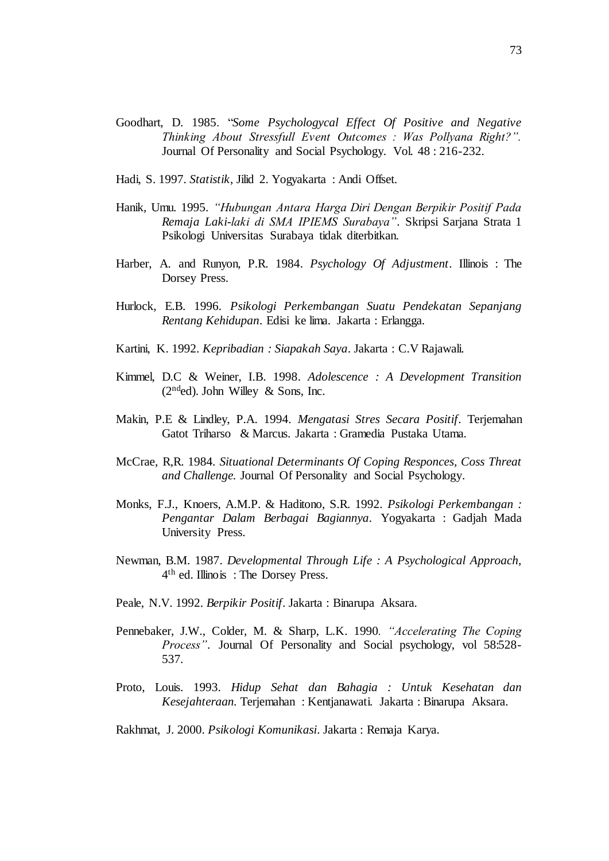- Goodhart, D. 1985. "*Some Psychologycal Effect Of Positive and Negative Thinking About Stressfull Event Outcomes : Was Pollyana Right?".* Journal Of Personality and Social Psychology. Vol. 48 : 216-232.
- Hadi, S. 1997. *Statistik*, Jilid 2. Yogyakarta : Andi Offset.
- Hanik, Umu. 1995. *"Hubungan Antara Harga Diri Dengan Berpikir Positif Pada Remaja Laki-laki di SMA IPIEMS Surabaya"*. Skripsi Sarjana Strata 1 Psikologi Universitas Surabaya tidak diterbitkan.
- Harber, A. and Runyon, P.R. 1984. *Psychology Of Adjustment*. Illinois : The Dorsey Press.
- Hurlock, E.B. 1996. *Psikologi Perkembangan Suatu Pendekatan Sepanjang Rentang Kehidupan*. Edisi ke lima. Jakarta : Erlangga.
- Kartini, K. 1992. *Kepribadian : Siapakah Saya*. Jakarta : C.V Rajawali.
- Kimmel, D.C & Weiner, I.B. 1998. *Adolescence : A Development Transition*   $(2<sup>nd</sup>ed)$ . John Willey & Sons, Inc.
- Makin, P.E & Lindley, P.A. 1994. *Mengatasi Stres Secara Positif*. Terjemahan Gatot Triharso & Marcus. Jakarta : Gramedia Pustaka Utama.
- McCrae, R,R. 1984. *Situational Determinants Of Coping Responces, Coss Threat and Challenge.* Journal Of Personality and Social Psychology.
- Monks, F.J., Knoers, A.M.P. & Haditono, S.R. 1992. *Psikologi Perkembangan : Pengantar Dalam Berbagai Bagiannya.* Yogyakarta : Gadjah Mada University Press.
- Newman, B.M. 1987. *Developmental Through Life : A Psychological Approach,* 4 th ed. Illinois : The Dorsey Press.
- Peale, N.V. 1992. *Berpikir Positif*. Jakarta : Binarupa Aksara.
- Pennebaker, J.W., Colder, M. & Sharp, L.K. 1990*. "Accelerating The Coping Process"*. Journal Of Personality and Social psychology, vol 58:528- 537.
- Proto, Louis. 1993. *Hidup Sehat dan Bahagia : Untuk Kesehatan dan Kesejahteraan.* Terjemahan : Kentjanawati. Jakarta : Binarupa Aksara.
- Rakhmat, J. 2000. *Psikologi Komunikasi*. Jakarta : Remaja Karya.